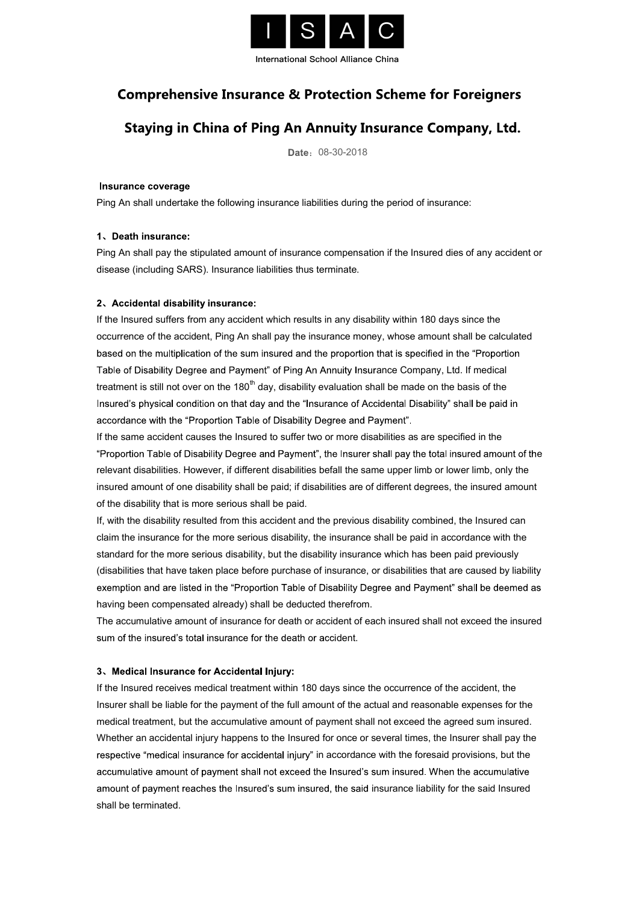

International School Alliance China

## **Comprehensive Insurance & Protection Scheme for Foreigners**

## Staying in China of Ping An Annuity Insurance Company, Ltd.

Date: 08-30-2018

Insurance coverage<br>Ping An shall undertake the following insurance liabilities during the period of insurance:

#### 1、Death insurance:

Ping An shall pay the stipulated amount of insurance compensation if the Insured dies of any accident or disease (including SARS). Insurance liabilities thus terminate.

#### 2、Accidental disability insurance:

If the Insured suffers from any accident which results in any disability within 180 days since the occurrence of the accident, Ping An shall pay the insurance money, whose amount shall be calculated based on the multiplication of the sum insured and the proportion that is specified in the "Proportion" Table of Disability Degree and Payment" of Ping An Annuity Insurance Company, Ltd. If medical treatment is still not over on the 180<sup>th</sup> day, disability evaluation shall be made on the basis of the Insured's physical condition on that day and the "Insurance of Accidental Disability" shall be paid in accordance with the "Proportion Table of Disability Degree and Payment".

If the same accident causes the Insured to suffer two or more disabilities as are specified in the e relevant disabilities. However, if different disabilities befall the same upper limb or lower limb, only the insured amount of one disability shall be paid; if disabilities are of different degrees, the insured amount of the disability that is more serious shall be paid.

If, with the disability resulted from this accident and the previous disability combined, the Insured can claim the insurance for the more serious disability, the insurance shall be paid in accordance with the standard for the more serious disability, but the disability insurance which has been paid previously (disabilities that have taken place before purchase of insurance, or disabilities that are caused by liability exemption and are listed in the "Proportion Table of Disability Degree and Payment" shall be deemed as having been compensated already) shall be deducted therefrom.

The accumulative amount of insurance for death or accident of each insured shall not exceed the insured sum of the insured's total insurance for the death or accident.

#### 3、Medical Insurance for Accidental Injury:

If the Insured receives medical treatment within 180 days since the occurrence of the accident, the Insurer shall be liable for the payment of the full amount of the actual and reasonable expenses for the medical treatment, but the accumulative amount of payment shall not exceed the agreed sum insured. Whether an accidental injury happens to the Insured for once or several times, the Insurer shall pay the respective "medical insurance for accidental injury" in accordance with the foresaid provisions, but the accumulative amount of payment shall not exceed the Insured's sum insured. When the accumulative amount of payment reaches the Insured's sum insured, the said insurance liability for the said Insured shall be terminated.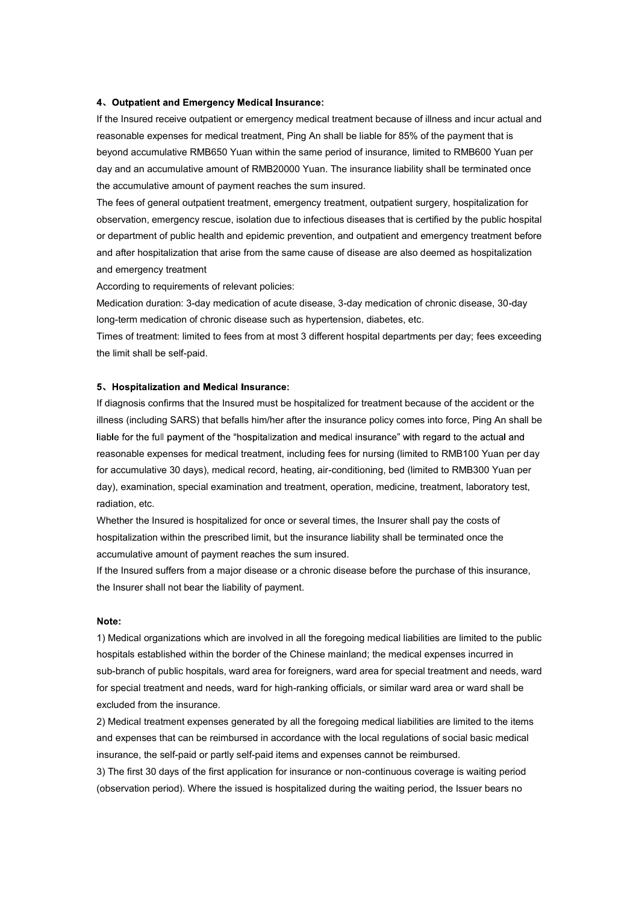#### 4. Outpatient and Emergency Medical Insurance:

If the Insured receive outpatient or emergency medical treatment because of illness and incur actual and reasonable expenses for medical treatment, Ping An shall be liable for 85% of the payment that is beyond accumulative RMB650 Yuan within the same period of insurance, limited to RMB600 Yuan per day and an accumulative amount of RMB20000 Yuan. The insurance liability shall be terminated once the accumulative amount of payment reaches the sum insured.

The fees of general outpatient treatment, emergency treatment, outpatient surgery, hospitalization for observation, emergency rescue, isolation due to infectious diseases that is certified by the public hospital or department of public health and epidemic prevention, and outpatient and emergency treatment before and after hospitalization that arise from the same cause of disease are also deemed as hospitalization and emergency treatment

According to requirements of relevant policies:

Medication duration: 3-day medication of acute disease, 3-day medication of chronic disease, 30-day long-term medication of chronic disease such as hypertension, diabetes, etc.

Times of treatment: limited to fees from at most 3 different hospital departments per day; fees exceeding the limit shall be self-paid.

#### 5、Hospitalization and Medical Insurance:

If diagnosis confirms that the Insured must be hospitalized for treatment because of the accident or the illness (including SARS) that befalls him/her after the insurance policy comes into force, Ping An shall be liable for the full payment of the "hospitalization and medical insurance" with regard to the actual and reasonable expenses for medical treatment, including fees for nursing (limited to RMB100 Yuan per day for accumulative 30 days), medical record, heating, air-conditioning, bed (limited to RMB300 Yuan per day), examination, special examination and treatment, operation, medicine, treatment, laboratory test, radiation, etc.

Whether the Insured is hospitalized for once or several times, the Insurer shall pay the costs of hospitalization within the prescribed limit, but the insurance liability shall be terminated once the accumulative amount of payment reaches the sum insured.

If the Insured suffers from a major disease or a chronic disease before the purchase of this insurance, the Insurer shall not bear the liability of payment.

Note:<br>1) Medical organizations which are involved in all the foregoing medical liabilities are limited to the public hospitals established within the border of the Chinese mainland; the medical expenses incurred in sub-branch of public hospitals, ward area for foreigners, ward area for special treatment and needs, ward for special treatment and needs, ward for high-ranking officials, or similar ward area or ward shall be excluded from the insurance.

2) Medical treatment expenses generated by all the foregoing medical liabilities are limited to the items and expenses that can be reimbursed in accordance with the local regulations of social basic medical insurance, the self-paid or partly self-paid items and expenses cannot be reimbursed.

3) The first 30 days of the first application for insurance or non-continuous coverage is waiting period (observation period). Where the issued is hospitalized during the waiting period, the Issuer bears no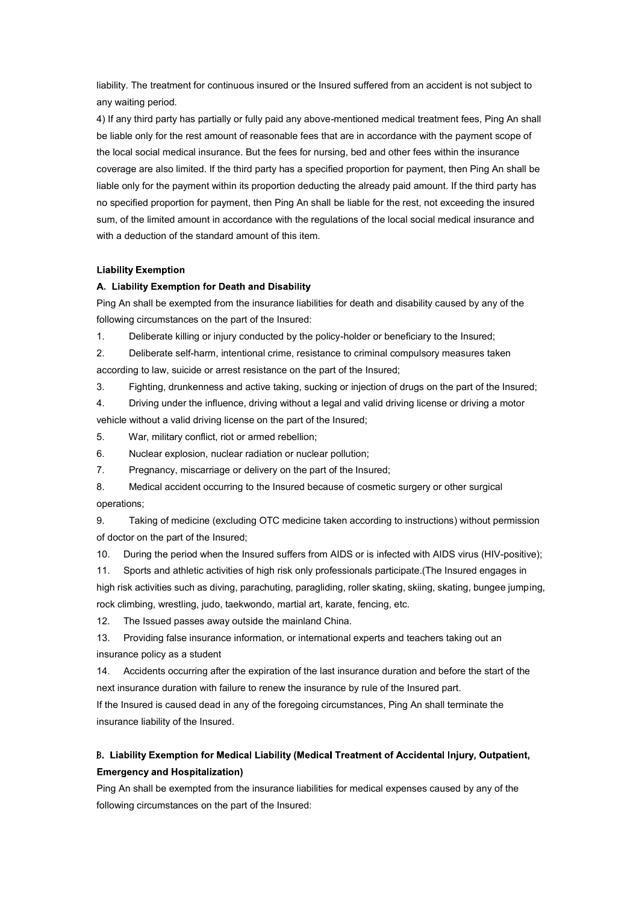liability. The treatment for continuous insured or the Insured suffered from an accident is not subject to any waiting period.

4) If any third party has partially or fully paid any above-mentioned medical treatment fees, Ping An shall be liable only for the rest amount of reasonable fees that are in accordance with the payment scope of the local social medical insurance. But the fees for nursing, bed and other fees within the insurance coverage are also limited. If the third party has a specified proportion for payment, then Ping An shall be liable only for the payment within its proportion deducting the already paid amount. If the third party has no specified proportion for payment, then Ping An shall be liable for the rest, not exceeding the insured sum, of the limited amount in accordance with the regulations of the local social medical insurance and with a deduction of the standard amount of this item.

#### **Liability Exemption**

#### A. Liability Exemption for Death and Disability

Ping An shall be exempted from the insurance liabilities for death and disability caused by any of the following circumstances on the part of the Insured:

1. Deliberate killing or injury conducted by the policy-holder or beneficiary to the Insured;

2. Deliberate self-harm, intentional crime, resistance to criminal compulsory measures taken according to law, suicide or arrest resistance on the part of the Insured;

3. Fighting, drunkenness and active taking, sucking or injection of drugs on the part of the Insured;

4. Driving under the influence, driving without a legal and valid driving license or driving a motor vehicle without a valid driving license on the part of the Insured;

5. War, military conflict, riot or armed rebellion;

6. Nuclear explosion, nuclear radiation or nuclear pollution;

7. Pregnancy, miscarriage or delivery on the part of the Insured;

8. Medical accident occurring to the Insured because of cosmetic surgery or other surgical operations;

9. Taking of medicine (excluding OTC medicine taken according to instructions) without permission of doctor on the part of the Insured;

10. During the period when the Insured suffers from AIDS or is infected with AIDS virus (HIV-positive);

11. Sports and athletic activities of high risk only professionals participate.(The Insured engages in high risk activities such as diving, parachuting, paragliding, roller skating, skiing, skating, bungee jumping, rock climbing, wrestling, judo, taekwondo, martial art, karate, fencing, etc.

12. The Issued passes away outside the mainland China.

13. Providing false insurance information, or international experts and teachers taking out an insurance policy as a student

14. Accidents occurring after the expiration of the last insurance duration and before the start of the next insurance duration with failure to renew the insurance by rule of the Insured part.

If the Insured is caused dead in any of the foregoing circumstances, Ping An shall terminate the insurance liability of the Insured.

# B. Liability Exemption for Medical Liability (Medical Treatment of Accidental Injury, Outpatient,<br>Emergency and Hospitalization)<br>Ping An shall be exempted from the insurance liabilities for medical expenses caused by any o

following circumstances on the part of the Insured: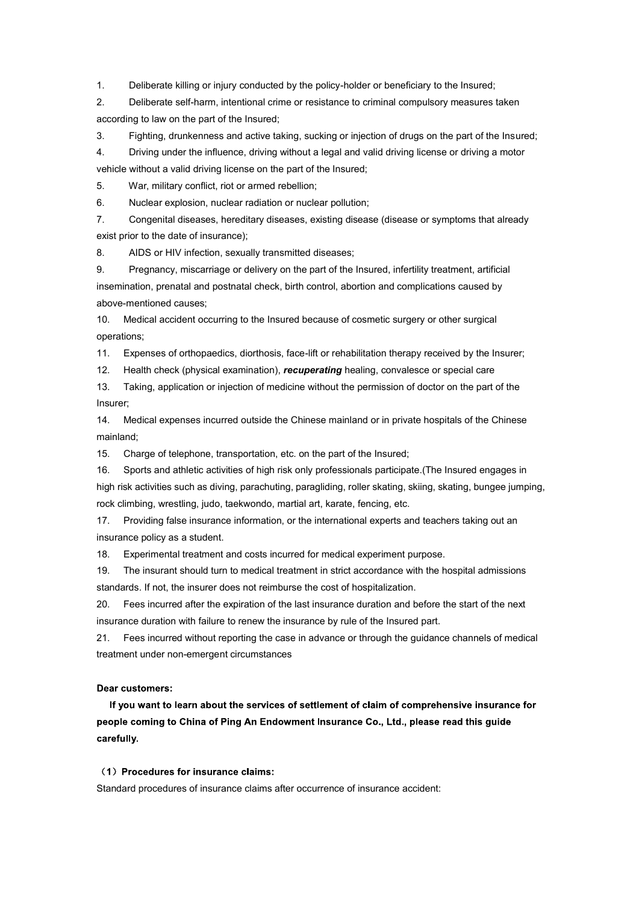1. Deliberate killing or injury conducted by the policy-holder or beneficiary to the Insured;

2. Deliberate self-harm, intentional crime or resistance to criminal compulsory measures taken according to law on the part of the Insured;

3. Fighting, drunkenness and active taking, sucking or injection of drugs on the part of the Insured;

4. Driving under the influence, driving without a legal and valid driving license or driving a motor vehicle without a valid driving license on the part of the Insured;

5. War, military conflict, riot or armed rebellion;

6. Nuclear explosion, nuclear radiation or nuclear pollution;

7. Congenital diseases, hereditary diseases, existing disease (disease or symptoms that already exist prior to the date of insurance);

8. AIDS or HIV infection, sexually transmitted diseases;

9. Pregnancy, miscarriage or delivery on the part of the Insured, infertility treatment, artificial insemination, prenatal and postnatal check, birth control, abortion and complications caused by above-mentioned causes;

10. Medical accident occurring to the Insured because of cosmetic surgery or other surgical operations;

11. Expenses of orthopaedics, diorthosis, face-lift or rehabilitation therapy received by the Insurer;

12. Health check (physical examination), *recuperating* healing, convalesce or special care

13. Taking, application or injection of medicine without the permission of doctor on the part of the Insurer;

14. Medical expenses incurred outside the Chinese mainland or in private hospitals of the Chinese mainland;

15. Charge of telephone, transportation, etc. on the part of the Insured;

16. Sports and athletic activities of high risk only professionals participate.(The Insured engages in

high risk activities such as diving, parachuting, paragliding, roller skating, skiing, skating, bungee jumping, rock climbing, wrestling, judo, taekwondo, martial art, karate, fencing, etc.

17. Providing false insurance information, or the international experts and teachers taking out an insurance policy as a student.

18. Experimental treatment and costs incurred for medical experiment purpose.

19. The insurant should turn to medical treatment in strict accordance with the hospital admissions standards. If not, the insurer does not reimburse the cost of hospitalization.

20. Fees incurred after the expiration of the last insurance duration and before the start of the next insurance duration with failure to renew the insurance by rule of the Insured part.

21. Fees incurred without reporting the case in advance or through the guidance channels of medical treatment under non-emergent circumstances

#### Dear customers:

If you want to learn about the services of settlement of claim of comprehensive insurance for people coming to China of Ping An Endowment Insurance Co., Ltd., please read this guide carefully.

#### (1) Procedures for insurance claims:

Standard procedures of insurance claims after occurrence of insurance accident: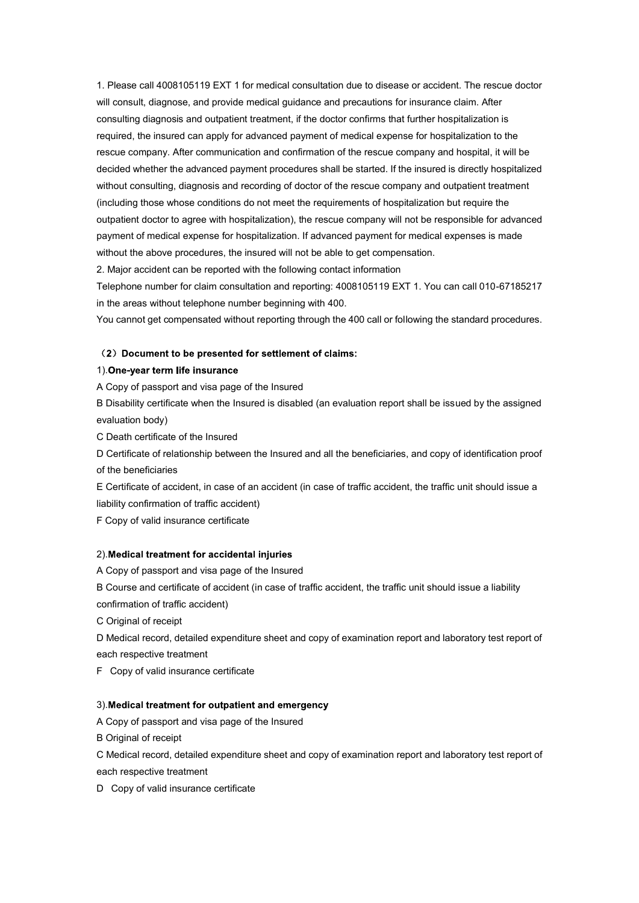1. Please call 4008105119 EXT 1 for medical consultation due to disease or accident. The rescue doctor will consult, diagnose, and provide medical guidance and precautions for insurance claim. After consulting diagnosis and outpatient treatment, if the doctor confirms that further hospitalization is required, the insured can apply for advanced payment of medical expense for hospitalization to the rescue company. After communication and confirmation of the rescue company and hospital, it will be decided whether the advanced payment procedures shall be started. If the insured is directly hospitalized without consulting, diagnosis and recording of doctor of the rescue company and outpatient treatment (including those whose conditions do not meet the requirements of hospitalization but require the outpatient doctor to agree with hospitalization), the rescue company will not be responsible for advanced payment of medical expense for hospitalization. If advanced payment for medical expenses is made without the above procedures, the insured will not be able to get compensation.

2. Major accident can be reported with the following contact information

Telephone number for claim consultation and reporting: 4008105119 EXT 1. You can call 010-67185217 in the areas without telephone number beginning with 400.

You cannot get compensated without reporting through the 400 call or following the standard procedures.

## (2) Document to be presented for settlement of claims:<br>1).One-year term life insurance

A Copy of passport and visa page of the Insured

B Disability certificate when the Insured is disabled (an evaluation report shall be issued by the assigned evaluation body)

C Death certificate of the Insured

D Certificate of relationship between the Insured and all the beneficiaries, and copy of identification proof of the beneficiaries

E Certificate of accident, in case of an accident (in case of traffic accident, the traffic unit should issue a liability confirmation of traffic accident)

F Copy of valid insurance certificate

#### 2). Medical treatment for accidental injuries

A Copy of passport and visa page of the Insured

B Course and certificate of accident (in case of traffic accident, the traffic unit should issue a liability confirmation of traffic accident)

C Original of receipt

D Medical record, detailed expenditure sheet and copy of examination report and laboratory test report of each respective treatment

F Copy of valid insurance certificate

#### 3). Medical treatment for outpatient and emergency

A Copy of passport and visa page of the Insured

B Original of receipt

C Medical record, detailed expenditure sheet and copy of examination report and laboratory test report of

each respective treatment

D Copy of valid insurance certificate